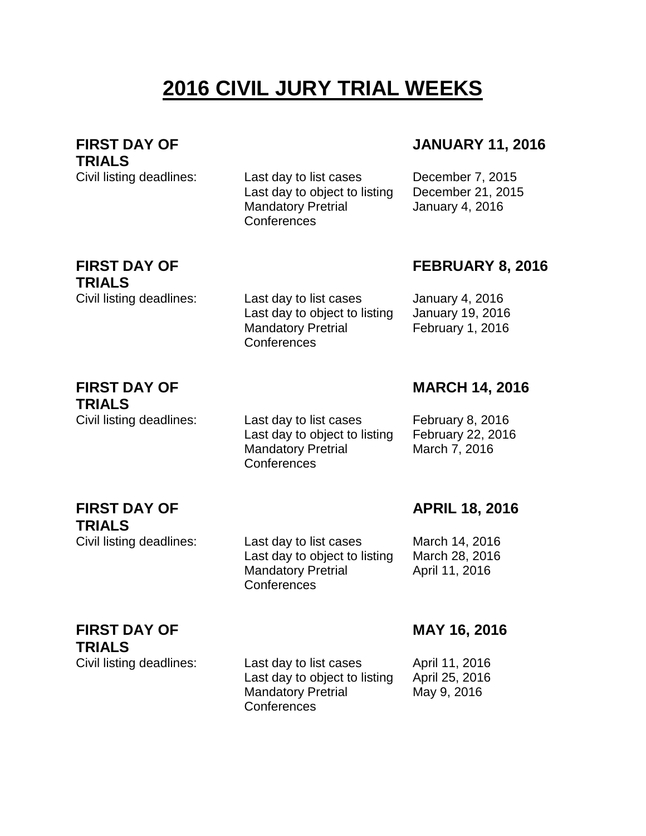# **2016 CIVIL JURY TRIAL WEEKS**

**FIRST DAY OF TRIALS**

Civil listing deadlines: Last day to list cases December 7, 2015 Last day to object to listing December 21, 2015 Mandatory Pretrial **Conferences** 

#### **JANUARY 11, 2016**

January 4, 2016

## **FIRST DAY OF TRIALS**

Civil listing deadlines: Last day to list cases January 4, 2016 Last day to object to listing January 19, 2016 Mandatory Pretrial **Conferences** 

#### **FEBRUARY 8, 2016**

February 1, 2016

#### **FIRST DAY OF TRIALS**

**FIRST DAY OF** 

**TRIALS**

Civil listing deadlines: Last day to list cases February 8, 2016 Last day to object to listing February 22, 2016 Mandatory Pretrial **Conferences** 

Mandatory Pretrial

**Conferences** 

**MARCH 14, 2016**

March 7, 2016

#### **APRIL 18, 2016**

Civil listing deadlines: Last day to list cases March 14, 2016 Last day to object to listing March 28, 2016 April 11, 2016

## **FIRST DAY OF TRIALS**

Civil listing deadlines: Last day to list cases April 11, 2016 Last day to object to listing April 25, 2016 Mandatory Pretrial Conferences

#### **MAY 16, 2016**

May 9, 2016